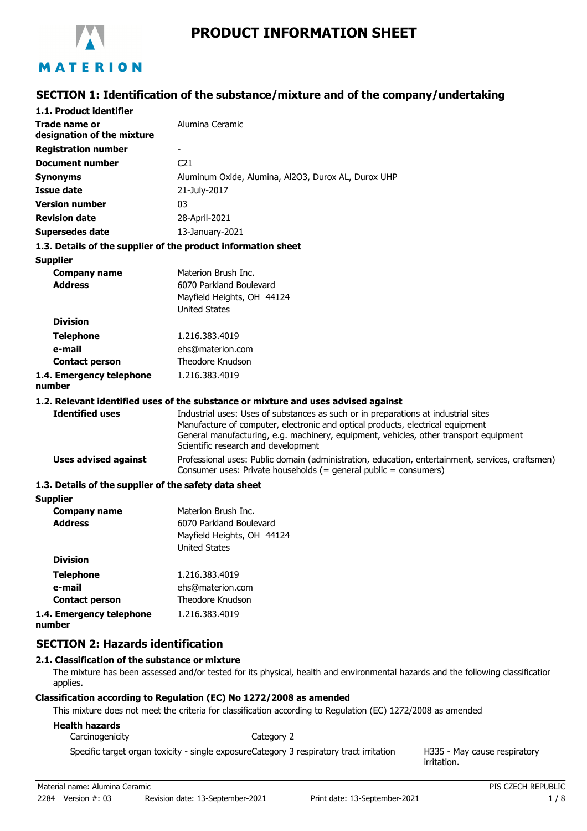

# MATERION

## **SECTION 1: Identification of the substance/mixture and of the company/undertaking**

| 1.1. Product identifier                               |                                                                                                                                                                                                                                                                                                      |
|-------------------------------------------------------|------------------------------------------------------------------------------------------------------------------------------------------------------------------------------------------------------------------------------------------------------------------------------------------------------|
| Trade name or<br>designation of the mixture           | Alumina Ceramic                                                                                                                                                                                                                                                                                      |
| <b>Registration number</b>                            |                                                                                                                                                                                                                                                                                                      |
| <b>Document number</b>                                | C <sub>21</sub>                                                                                                                                                                                                                                                                                      |
| <b>Synonyms</b>                                       | Aluminum Oxide, Alumina, Al2O3, Durox AL, Durox UHP                                                                                                                                                                                                                                                  |
| Issue date                                            | 21-July-2017                                                                                                                                                                                                                                                                                         |
| <b>Version number</b>                                 | 03                                                                                                                                                                                                                                                                                                   |
| <b>Revision date</b>                                  | 28-April-2021                                                                                                                                                                                                                                                                                        |
| <b>Supersedes date</b>                                | 13-January-2021                                                                                                                                                                                                                                                                                      |
|                                                       | 1.3. Details of the supplier of the product information sheet                                                                                                                                                                                                                                        |
| <b>Supplier</b>                                       |                                                                                                                                                                                                                                                                                                      |
| <b>Company name</b>                                   | Materion Brush Inc.                                                                                                                                                                                                                                                                                  |
| <b>Address</b>                                        | 6070 Parkland Boulevard                                                                                                                                                                                                                                                                              |
|                                                       | Mayfield Heights, OH 44124                                                                                                                                                                                                                                                                           |
|                                                       | <b>United States</b>                                                                                                                                                                                                                                                                                 |
| <b>Division</b>                                       |                                                                                                                                                                                                                                                                                                      |
| <b>Telephone</b>                                      | 1.216.383.4019                                                                                                                                                                                                                                                                                       |
| e-mail                                                | ehs@materion.com                                                                                                                                                                                                                                                                                     |
| <b>Contact person</b>                                 | Theodore Knudson                                                                                                                                                                                                                                                                                     |
| 1.4. Emergency telephone<br>number                    | 1.216.383.4019                                                                                                                                                                                                                                                                                       |
|                                                       | 1.2. Relevant identified uses of the substance or mixture and uses advised against                                                                                                                                                                                                                   |
| <b>Identified uses</b>                                | Industrial uses: Uses of substances as such or in preparations at industrial sites<br>Manufacture of computer, electronic and optical products, electrical equipment<br>General manufacturing, e.g. machinery, equipment, vehicles, other transport equipment<br>Scientific research and development |
| <b>Uses advised against</b>                           | Professional uses: Public domain (administration, education, entertainment, services, craftsmen)<br>Consumer uses: Private households (= general public = consumers)                                                                                                                                 |
| 1.3. Details of the supplier of the safety data sheet |                                                                                                                                                                                                                                                                                                      |
| <b>Supplier</b>                                       |                                                                                                                                                                                                                                                                                                      |
| <b>Company name</b>                                   | Materion Brush Inc.                                                                                                                                                                                                                                                                                  |
| <b>Address</b>                                        | 6070 Parkland Boulevard                                                                                                                                                                                                                                                                              |
|                                                       | Mayfield Heights, OH 44124                                                                                                                                                                                                                                                                           |
|                                                       | <b>United States</b>                                                                                                                                                                                                                                                                                 |
| <b>Division</b>                                       |                                                                                                                                                                                                                                                                                                      |

**Telephone** 1.216.383.4019 **e-mail Contact person** ehs@materion.com Theodore Knudson **1.4. Emergency telephone** 1.216.383.4019

**number**

**SECTION 2: Hazards identification**

#### **2.1. Classification of the substance or mixture**

The mixture has been assessed and/or tested for its physical, health and environmental hazards and the following classification applies.

#### **Classification according to Regulation (EC) No 1272/2008 as amended**

This mixture does not meet the criteria for classification according to Regulation (EC) 1272/2008 as amended.

#### **Health hazards**

Carcinogenicity **Category 2** 

Specific target organ toxicity - single exposureCategory 3 respiratory tract irritation

H335 - May cause respiratory irritation.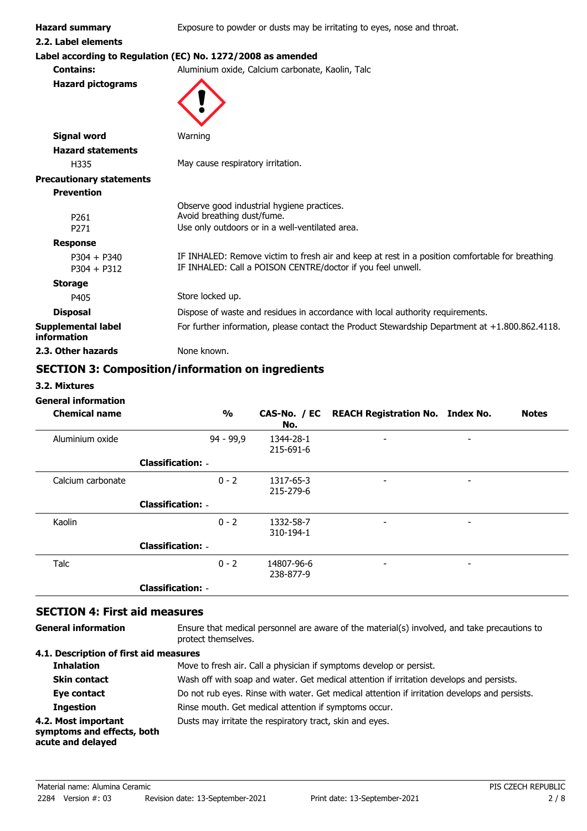**Hazard summary** Exposure to powder or dusts may be irritating to eyes, nose and throat.

**2.2. Label elements**

# **Label according to Regulation (EC) No. 1272/2008 as amended**

**Contains:** Aluminium oxide, Calcium carbonate, Kaolin, Talc

**Hazard pictograms**



| <b>Signal word</b>                | Warning                                                                                                                                                         |
|-----------------------------------|-----------------------------------------------------------------------------------------------------------------------------------------------------------------|
| <b>Hazard statements</b>          |                                                                                                                                                                 |
| H335                              | May cause respiratory irritation.                                                                                                                               |
| <b>Precautionary statements</b>   |                                                                                                                                                                 |
| <b>Prevention</b>                 |                                                                                                                                                                 |
| P <sub>261</sub>                  | Observe good industrial hygiene practices.<br>Avoid breathing dust/fume.                                                                                        |
| P <sub>271</sub>                  | Use only outdoors or in a well-ventilated area.                                                                                                                 |
| <b>Response</b>                   |                                                                                                                                                                 |
| $P304 + P340$<br>$P304 + P312$    | IF INHALED: Remove victim to fresh air and keep at rest in a position comfortable for breathing.<br>IF INHALED: Call a POISON CENTRE/doctor if you feel unwell. |
| <b>Storage</b>                    |                                                                                                                                                                 |
| P405                              | Store locked up.                                                                                                                                                |
| <b>Disposal</b>                   | Dispose of waste and residues in accordance with local authority requirements.                                                                                  |
| Supplemental label<br>information | For further information, please contact the Product Stewardship Department at $+1.800.862.4118$ .                                                               |
| 2.3. Other hazards                | None known.                                                                                                                                                     |

# **SECTION 3: Composition/information on ingredients**

**3.2. Mixtures**

#### **General information**

| <b>Chemical name</b> |                          | $\frac{1}{2}$ | No.                     | CAS-No. / EC REACH Registration No. Index No. |                          | <b>Notes</b> |
|----------------------|--------------------------|---------------|-------------------------|-----------------------------------------------|--------------------------|--------------|
| Aluminium oxide      |                          | 94 - 99,9     | 1344-28-1<br>215-691-6  | $\overline{\phantom{a}}$                      | $\overline{\phantom{a}}$ |              |
|                      | <b>Classification: -</b> |               |                         |                                               |                          |              |
| Calcium carbonate    |                          | $0 - 2$       | 1317-65-3<br>215-279-6  | -                                             | -                        |              |
|                      | <b>Classification: -</b> |               |                         |                                               |                          |              |
| Kaolin               |                          | $0 - 2$       | 1332-58-7<br>310-194-1  | $\overline{\phantom{a}}$                      | ٠                        |              |
|                      | <b>Classification: -</b> |               |                         |                                               |                          |              |
| Talc                 |                          | $0 - 2$       | 14807-96-6<br>238-877-9 | -                                             |                          |              |
|                      | <b>Classification: -</b> |               |                         |                                               |                          |              |

## **SECTION 4: First aid measures**

**General information**

Ensure that medical personnel are aware of the material(s) involved, and take precautions to protect themselves.

#### **4.1. Description of first aid measures**

| <b>Inhalation</b>                                                      | Move to fresh air. Call a physician if symptoms develop or persist.                           |
|------------------------------------------------------------------------|-----------------------------------------------------------------------------------------------|
| <b>Skin contact</b>                                                    | Wash off with soap and water. Get medical attention if irritation develops and persists.      |
| Eye contact                                                            | Do not rub eyes. Rinse with water. Get medical attention if irritation develops and persists. |
| <b>Ingestion</b>                                                       | Rinse mouth. Get medical attention if symptoms occur.                                         |
| 4.2. Most important<br>symptoms and effects, both<br>acute and delayed | Dusts may irritate the respiratory tract, skin and eyes.                                      |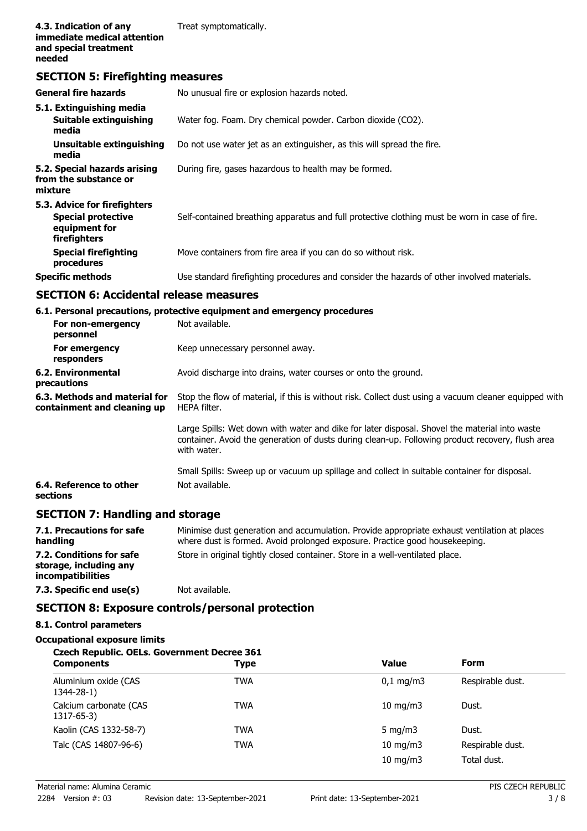## **SECTION 5: Firefighting measures**

| <b>General fire hazards</b>                                                                | No unusual fire or explosion hazards noted.                                                   |  |  |
|--------------------------------------------------------------------------------------------|-----------------------------------------------------------------------------------------------|--|--|
| 5.1. Extinguishing media<br>Suitable extinguishing<br>media                                | Water fog. Foam. Dry chemical powder. Carbon dioxide (CO2).                                   |  |  |
| Unsuitable extinguishing<br>media                                                          | Do not use water jet as an extinguisher, as this will spread the fire.                        |  |  |
| 5.2. Special hazards arising<br>from the substance or<br>mixture                           | During fire, gases hazardous to health may be formed.                                         |  |  |
| 5.3. Advice for firefighters<br><b>Special protective</b><br>equipment for<br>firefighters | Self-contained breathing apparatus and full protective clothing must be worn in case of fire. |  |  |
| <b>Special firefighting</b><br>procedures                                                  | Move containers from fire area if you can do so without risk.                                 |  |  |
| <b>Specific methods</b>                                                                    | Use standard firefighting procedures and consider the hazards of other involved materials.    |  |  |

### **SECTION 6: Accidental release measures**

**6.1. Personal precautions, protective equipment and emergency procedures**

| For non-emergency<br>personnel                               | Not available.                                                                                                                                                                                                   |
|--------------------------------------------------------------|------------------------------------------------------------------------------------------------------------------------------------------------------------------------------------------------------------------|
| For emergency<br>responders                                  | Keep unnecessary personnel away.                                                                                                                                                                                 |
| 6.2. Environmental<br>precautions                            | Avoid discharge into drains, water courses or onto the ground.                                                                                                                                                   |
| 6.3. Methods and material for<br>containment and cleaning up | Stop the flow of material, if this is without risk. Collect dust using a vacuum cleaner equipped with<br>HEPA filter.                                                                                            |
|                                                              | Large Spills: Wet down with water and dike for later disposal. Shovel the material into waste<br>container. Avoid the generation of dusts during clean-up. Following product recovery, flush area<br>with water. |
|                                                              | Small Spills: Sweep up or vacuum up spillage and collect in suitable container for disposal.                                                                                                                     |
| 6.4. Reference to other<br>sections                          | Not available.                                                                                                                                                                                                   |

# **SECTION 7: Handling and storage**

| 7.1. Precautions for safe<br>handling                                          | Minimise dust generation and accumulation. Provide appropriate exhaust ventilation at places<br>where dust is formed. Avoid prolonged exposure. Practice good housekeeping. |
|--------------------------------------------------------------------------------|-----------------------------------------------------------------------------------------------------------------------------------------------------------------------------|
| 7.2. Conditions for safe<br>storage, including any<br><i>incompatibilities</i> | Store in original tightly closed container. Store in a well-ventilated place.                                                                                               |
| 7.3. Specific end use(s)                                                       | Not available.                                                                                                                                                              |

# **SECTION 8: Exposure controls/personal protection**

#### **8.1. Control parameters**

**Occupational exposure limits**

#### **Czech Republic. OELs. Government Decree 361**

| <b>Components</b>                    | <b>Type</b> | <b>Value</b>          | <b>Form</b>      |
|--------------------------------------|-------------|-----------------------|------------------|
| Aluminium oxide (CAS<br>1344-28-1)   | <b>TWA</b>  | $0.1 \,\mathrm{mq/m}$ | Respirable dust. |
| Calcium carbonate (CAS<br>1317-65-3) | TWA         | $10 \text{ mg/m}$     | Dust.            |
| Kaolin (CAS 1332-58-7)               | <b>TWA</b>  | 5 $mq/m3$             | Dust.            |
| Talc (CAS 14807-96-6)                | <b>TWA</b>  | $10$ mg/m $3$         | Respirable dust. |
|                                      |             | $10 \text{ mg/m}$     | Total dust.      |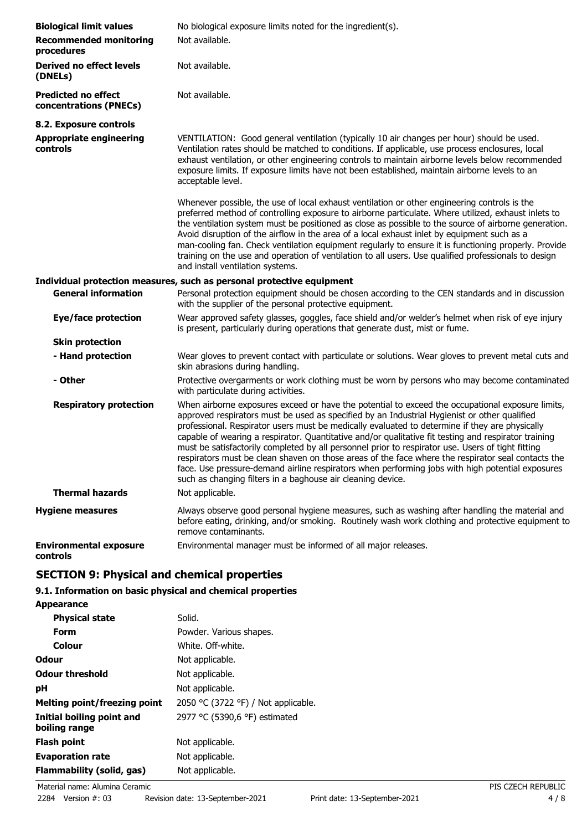| <b>Biological limit values</b><br><b>Recommended monitoring</b><br>procedures | No biological exposure limits noted for the ingredient(s).<br>Not available.                                                                                                                                                                                                                                                                                                                                                                                                                                                                                                                                                                                                                                                                                                             |
|-------------------------------------------------------------------------------|------------------------------------------------------------------------------------------------------------------------------------------------------------------------------------------------------------------------------------------------------------------------------------------------------------------------------------------------------------------------------------------------------------------------------------------------------------------------------------------------------------------------------------------------------------------------------------------------------------------------------------------------------------------------------------------------------------------------------------------------------------------------------------------|
| <b>Derived no effect levels</b><br>(DNELs)                                    | Not available.                                                                                                                                                                                                                                                                                                                                                                                                                                                                                                                                                                                                                                                                                                                                                                           |
| <b>Predicted no effect</b><br>concentrations (PNECs)                          | Not available.                                                                                                                                                                                                                                                                                                                                                                                                                                                                                                                                                                                                                                                                                                                                                                           |
| 8.2. Exposure controls                                                        |                                                                                                                                                                                                                                                                                                                                                                                                                                                                                                                                                                                                                                                                                                                                                                                          |
| <b>Appropriate engineering</b><br>controls                                    | VENTILATION: Good general ventilation (typically 10 air changes per hour) should be used.<br>Ventilation rates should be matched to conditions. If applicable, use process enclosures, local<br>exhaust ventilation, or other engineering controls to maintain airborne levels below recommended<br>exposure limits. If exposure limits have not been established, maintain airborne levels to an<br>acceptable level.                                                                                                                                                                                                                                                                                                                                                                   |
|                                                                               | Whenever possible, the use of local exhaust ventilation or other engineering controls is the<br>preferred method of controlling exposure to airborne particulate. Where utilized, exhaust inlets to<br>the ventilation system must be positioned as close as possible to the source of airborne generation.<br>Avoid disruption of the airflow in the area of a local exhaust inlet by equipment such as a<br>man-cooling fan. Check ventilation equipment regularly to ensure it is functioning properly. Provide<br>training on the use and operation of ventilation to all users. Use qualified professionals to design<br>and install ventilation systems.                                                                                                                           |
|                                                                               | Individual protection measures, such as personal protective equipment                                                                                                                                                                                                                                                                                                                                                                                                                                                                                                                                                                                                                                                                                                                    |
| <b>General information</b>                                                    | Personal protection equipment should be chosen according to the CEN standards and in discussion<br>with the supplier of the personal protective equipment.                                                                                                                                                                                                                                                                                                                                                                                                                                                                                                                                                                                                                               |
| <b>Eye/face protection</b>                                                    | Wear approved safety glasses, goggles, face shield and/or welder's helmet when risk of eye injury<br>is present, particularly during operations that generate dust, mist or fume.                                                                                                                                                                                                                                                                                                                                                                                                                                                                                                                                                                                                        |
| <b>Skin protection</b>                                                        |                                                                                                                                                                                                                                                                                                                                                                                                                                                                                                                                                                                                                                                                                                                                                                                          |
| - Hand protection                                                             | Wear gloves to prevent contact with particulate or solutions. Wear gloves to prevent metal cuts and<br>skin abrasions during handling.                                                                                                                                                                                                                                                                                                                                                                                                                                                                                                                                                                                                                                                   |
| - Other                                                                       | Protective overgarments or work clothing must be worn by persons who may become contaminated<br>with particulate during activities.                                                                                                                                                                                                                                                                                                                                                                                                                                                                                                                                                                                                                                                      |
| <b>Respiratory protection</b>                                                 | When airborne exposures exceed or have the potential to exceed the occupational exposure limits,<br>approved respirators must be used as specified by an Industrial Hygienist or other qualified<br>professional. Respirator users must be medically evaluated to determine if they are physically<br>capable of wearing a respirator. Quantitative and/or qualitative fit testing and respirator training<br>must be satisfactorily completed by all personnel prior to respirator use. Users of tight fitting<br>respirators must be clean shaven on those areas of the face where the respirator seal contacts the<br>face. Use pressure-demand airline respirators when performing jobs with high potential exposures<br>such as changing filters in a baghouse air cleaning device. |
| <b>Thermal hazards</b>                                                        | Not applicable.                                                                                                                                                                                                                                                                                                                                                                                                                                                                                                                                                                                                                                                                                                                                                                          |
| <b>Hygiene measures</b>                                                       | Always observe good personal hygiene measures, such as washing after handling the material and<br>before eating, drinking, and/or smoking. Routinely wash work clothing and protective equipment to<br>remove contaminants.                                                                                                                                                                                                                                                                                                                                                                                                                                                                                                                                                              |
| <b>Environmental exposure</b><br>controls                                     | Environmental manager must be informed of all major releases.                                                                                                                                                                                                                                                                                                                                                                                                                                                                                                                                                                                                                                                                                                                            |

# **SECTION 9: Physical and chemical properties**

# **9.1. Information on basic physical and chemical properties**

**Appearance**

| <b>Physical state</b>                      | Solid.                              |
|--------------------------------------------|-------------------------------------|
| <b>Form</b>                                | Powder. Various shapes.             |
| Colour                                     | White, Off-white.                   |
| <b>Odour</b>                               | Not applicable.                     |
| <b>Odour threshold</b>                     | Not applicable.                     |
| рH                                         | Not applicable.                     |
| <b>Melting point/freezing point</b>        | 2050 °C (3722 °F) / Not applicable. |
| Initial boiling point and<br>boiling range | 2977 °C (5390,6 °F) estimated       |
| <b>Flash point</b>                         | Not applicable.                     |
| <b>Evaporation rate</b>                    | Not applicable.                     |
| Flammability (solid, gas)                  | Not applicable.                     |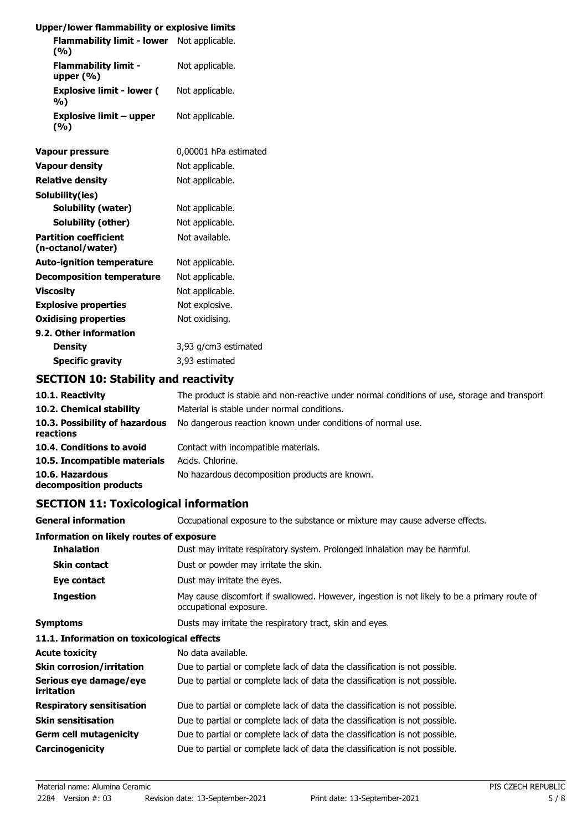## **Upper/lower flammability or explosive limits**

| <b>Flammability limit - lower</b><br>(%)    | Not applicable. |
|---------------------------------------------|-----------------|
| <b>Flammability limit -</b><br>upper $(% )$ | Not applicable. |
| <b>Explosive limit - lower (</b><br>%)      | Not applicable. |
| Explosive limit – upper<br>(%)              | Not applicable. |

| <b>Vapour pressure</b>                            | 0,00001 hPa estimated |
|---------------------------------------------------|-----------------------|
| <b>Vapour density</b>                             | Not applicable.       |
| <b>Relative density</b>                           | Not applicable.       |
| Solubility(ies)                                   |                       |
| <b>Solubility (water)</b>                         | Not applicable.       |
| Solubility (other)                                | Not applicable.       |
| <b>Partition coefficient</b><br>(n-octanol/water) | Not available.        |
| <b>Auto-ignition temperature</b>                  | Not applicable.       |
| Decomposition temperature                         | Not applicable.       |
| Viscosity                                         | Not applicable.       |
| <b>Explosive properties</b>                       | Not explosive.        |
| <b>Oxidising properties</b>                       | Not oxidising.        |
| 9.2. Other information                            |                       |
| Density                                           | 3,93 g/cm3 estimated  |
| <b>Specific gravity</b>                           | 3,93 estimated        |

# **SECTION 10: Stability and reactivity**

| 10.1. Reactivity                            | The product is stable and non-reactive under normal conditions of use, storage and transport. |
|---------------------------------------------|-----------------------------------------------------------------------------------------------|
| 10.2. Chemical stability                    | Material is stable under normal conditions.                                                   |
| 10.3. Possibility of hazardous<br>reactions | No dangerous reaction known under conditions of normal use.                                   |
| 10.4. Conditions to avoid                   | Contact with incompatible materials.                                                          |
| 10.5. Incompatible materials                | Acids. Chlorine.                                                                              |
| 10.6. Hazardous<br>decomposition products   | No hazardous decomposition products are known.                                                |

# **SECTION 11: Toxicological information**

| <b>General information</b>                      | Occupational exposure to the substance or mixture may cause adverse effects.                                           |
|-------------------------------------------------|------------------------------------------------------------------------------------------------------------------------|
| <b>Information on likely routes of exposure</b> |                                                                                                                        |
| <b>Inhalation</b>                               | Dust may irritate respiratory system. Prolonged inhalation may be harmful.                                             |
| <b>Skin contact</b>                             | Dust or powder may irritate the skin.                                                                                  |
| Eye contact                                     | Dust may irritate the eyes.                                                                                            |
| <b>Ingestion</b>                                | May cause discomfort if swallowed. However, ingestion is not likely to be a primary route of<br>occupational exposure. |
| Symptoms                                        | Dusts may irritate the respiratory tract, skin and eyes.                                                               |
| 11.1. Information on toxicological effects      |                                                                                                                        |
| Acute toxicity                                  | No data available.                                                                                                     |
| <b>Skin corrosion/irritation</b>                | Due to partial or complete lack of data the classification is not possible.                                            |
| Serious eye damage/eye<br>irritation            | Due to partial or complete lack of data the classification is not possible.                                            |
| <b>Respiratory sensitisation</b>                | Due to partial or complete lack of data the classification is not possible.                                            |
| Skin sensitisation                              | Due to partial or complete lack of data the classification is not possible.                                            |
| Germ cell mutagenicity                          | Due to partial or complete lack of data the classification is not possible.                                            |
| Carcinogenicity                                 | Due to partial or complete lack of data the classification is not possible.                                            |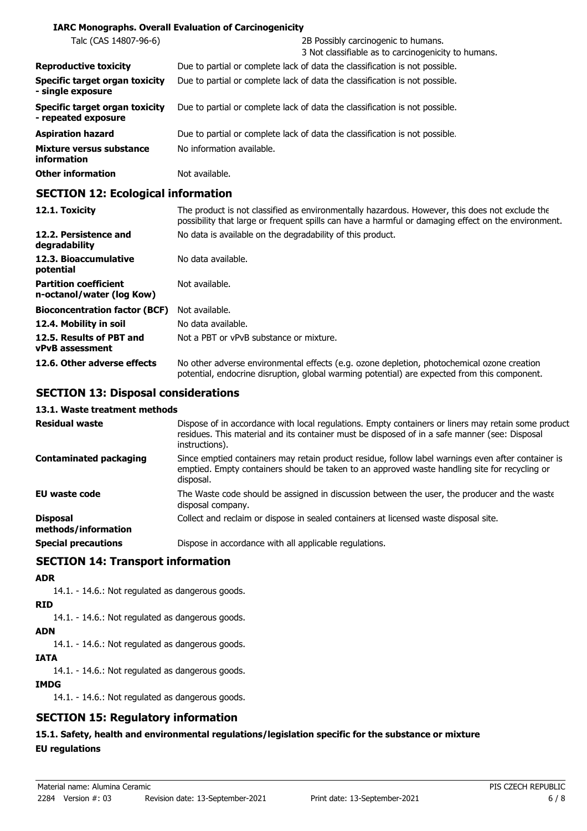#### **IARC Monographs. Overall Evaluation of Carcinogenicity**

| Talc (CAS 14807-96-6)                                        | 2B Possibly carcinogenic to humans.<br>3 Not classifiable as to carcinogenicity to humans. |
|--------------------------------------------------------------|--------------------------------------------------------------------------------------------|
| <b>Reproductive toxicity</b>                                 | Due to partial or complete lack of data the classification is not possible.                |
| <b>Specific target organ toxicity</b><br>- single exposure   | Due to partial or complete lack of data the classification is not possible.                |
| <b>Specific target organ toxicity</b><br>- repeated exposure | Due to partial or complete lack of data the classification is not possible.                |
| <b>Aspiration hazard</b>                                     | Due to partial or complete lack of data the classification is not possible.                |
| Mixture versus substance<br>information                      | No information available.                                                                  |
| <b>Other information</b>                                     | Not available.                                                                             |

### **SECTION 12: Ecological information**

| 12.1. Toxicity                                            | The product is not classified as environmentally hazardous. However, this does not exclude the<br>possibility that large or frequent spills can have a harmful or damaging effect on the environment. |
|-----------------------------------------------------------|-------------------------------------------------------------------------------------------------------------------------------------------------------------------------------------------------------|
| 12.2. Persistence and<br>degradability                    | No data is available on the degradability of this product.                                                                                                                                            |
| 12.3. Bioaccumulative<br>potential                        | No data available.                                                                                                                                                                                    |
| <b>Partition coefficient</b><br>n-octanol/water (log Kow) | Not available.                                                                                                                                                                                        |
| <b>Bioconcentration factor (BCF)</b>                      | Not available.                                                                                                                                                                                        |
| 12.4. Mobility in soil                                    | No data available.                                                                                                                                                                                    |
| 12.5. Results of PBT and<br><b>vPvB</b> assessment        | Not a PBT or vPvB substance or mixture.                                                                                                                                                               |
| 12.6. Other adverse effects                               | No other adverse environmental effects (e.g. ozone depletion, photochemical ozone creation<br>potential, endocrine disruption, global warming potential) are expected from this component.            |

#### **SECTION 13: Disposal considerations**

#### **13.1. Waste treatment methods**

| <b>Residual waste</b>                  | Dispose of in accordance with local regulations. Empty containers or liners may retain some product<br>residues. This material and its container must be disposed of in a safe manner (see: Disposal<br>instructions). |
|----------------------------------------|------------------------------------------------------------------------------------------------------------------------------------------------------------------------------------------------------------------------|
| <b>Contaminated packaging</b>          | Since emptied containers may retain product residue, follow label warnings even after container is<br>emptied. Empty containers should be taken to an approved waste handling site for recycling or<br>disposal.       |
| <b>EU waste code</b>                   | The Waste code should be assigned in discussion between the user, the producer and the waste<br>disposal company.                                                                                                      |
| <b>Disposal</b><br>methods/information | Collect and reclaim or dispose in sealed containers at licensed waste disposal site.                                                                                                                                   |
| <b>Special precautions</b>             | Dispose in accordance with all applicable regulations.                                                                                                                                                                 |

### **SECTION 14: Transport information**

#### **ADR**

14.1. - 14.6.: Not regulated as dangerous goods.

#### **RID**

14.1. - 14.6.: Not regulated as dangerous goods.

### **ADN**

14.1. - 14.6.: Not regulated as dangerous goods.

#### **IATA**

14.1. - 14.6.: Not regulated as dangerous goods.

#### **IMDG**

14.1. - 14.6.: Not regulated as dangerous goods.

# **SECTION 15: Regulatory information**

## **15.1. Safety, health and environmental regulations/legislation specific for the substance or mixture EU regulations**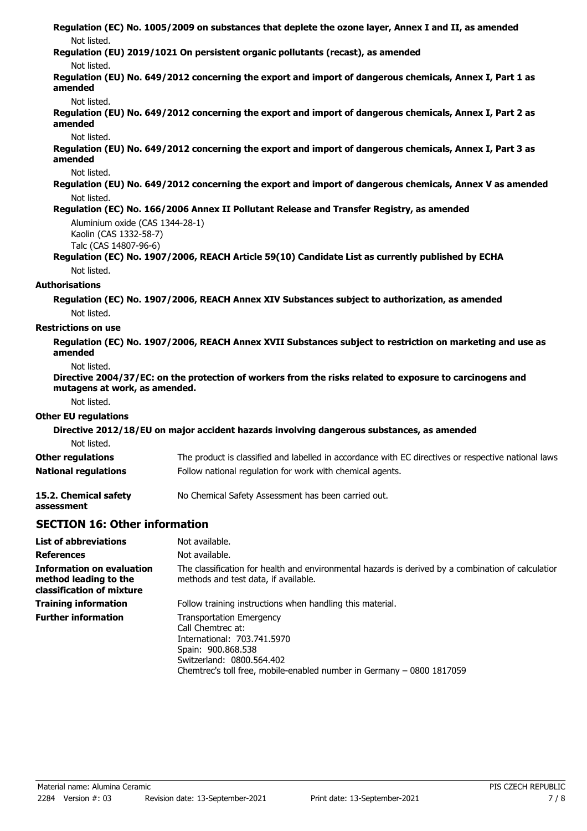**Regulation (EC) No. 1005/2009 on substances that deplete the ozone layer, Annex I and II, as amended** Not listed. **Regulation (EU) 2019/1021 On persistent organic pollutants (recast), as amended** Not listed. **Regulation (EU) No. 649/2012 concerning the export and import of dangerous chemicals, Annex I, Part 1 as amended** Not listed. **Regulation (EU) No. 649/2012 concerning the export and import of dangerous chemicals, Annex I, Part 2 as amended** Not listed. **Regulation (EU) No. 649/2012 concerning the export and import of dangerous chemicals, Annex I, Part 3 as amended** Not listed. **Regulation (EU) No. 649/2012 concerning the export and import of dangerous chemicals, Annex V as amended** Not listed. **Regulation (EC) No. 166/2006 Annex II Pollutant Release and Transfer Registry, as amended** Aluminium oxide (CAS 1344-28-1) Kaolin (CAS 1332-58-7) Talc (CAS 14807-96-6) **Regulation (EC) No. 1907/2006, REACH Article 59(10) Candidate List as currently published by ECHA** Not listed. **Authorisations Regulation (EC) No. 1907/2006, REACH Annex XIV Substances subject to authorization, as amended** Not listed. **Restrictions on use Regulation (EC) No. 1907/2006, REACH Annex XVII Substances subject to restriction on marketing and use as amended** Not listed. **Directive 2004/37/EC: on the protection of workers from the risks related to exposure to carcinogens and mutagens at work, as amended.** Not listed. **Other EU regulations Directive 2012/18/EU on major accident hazards involving dangerous substances, as amended** Not listed. **Other regulations** The product is classified and labelled in accordance with EC directives or respective national laws. **National regulations** Follow national regulation for work with chemical agents. **15.2. Chemical safety** No Chemical Safety Assessment has been carried out. **assessment SECTION 16: Other information List of abbreviations** Not available. **References** Not available. The classification for health and environmental hazards is derived by a combination of calculation **Information on evaluation**

methods and test data, if available. **method leading to the classification of mixture Training information** Follow training instructions when handling this material. Transportation Emergency Call Chemtrec at: International: 703.741.5970 Spain: 900.868.538 Switzerland: 0800.564.402 Chemtrec's toll free, mobile-enabled number in Germany – 0800 1817059 **Further information**